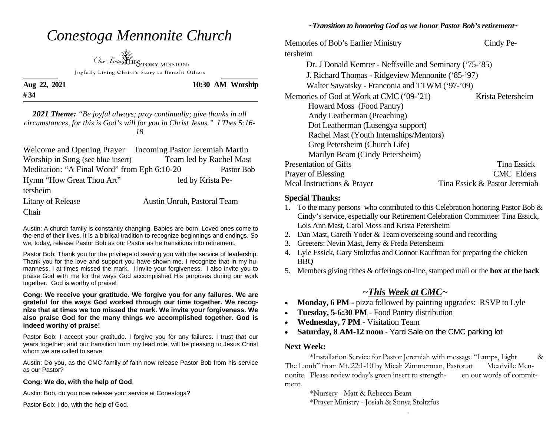| Conestoga Mennonite Church<br>Our Living $\mathbf{HIS}_{\text{TORY MISSION}}$                                                                                                                       |                  | Memories of Bob's Ear<br>tersheim<br>Dr. J Donald Kei                                   |
|-----------------------------------------------------------------------------------------------------------------------------------------------------------------------------------------------------|------------------|-----------------------------------------------------------------------------------------|
| Joyfully Living Christ's Story to Benefit Others<br>Aug 22, 2021<br>#34                                                                                                                             | 10:30 AM Worship | J. Richard Thom<br><b>Walter Sawatsky</b><br>Memories of God at W                       |
| <b>2021 Theme:</b> "Be joyful always; pray continually; give thanks in all<br>circumstances, for this is God's will for you in Christ Jesus." I Thes 5:16-<br>18                                    |                  | Howard Moss (<br>Andy Leatherma<br>Dot Leatherman<br>Rachel Mast (Yo                    |
| Welcome and Opening Prayer Incoming Pastor Jeremiah Martin<br>Worship in Song (see blue insert) Team led by Rachel Mast<br>Meditation: "A Final Word" from Eph 6:10-20<br>Hymn "How Great Thou Art" | Pastor Bob       | Greg Petersheim<br>Marilyn Beam (<br><b>Presentation of Gifts</b><br>Prayer of Blessing |

tersheim

Chair

Litany of Release Austin Unruh, Pastoral Team

Austin: A church family is constantly changing. Babies are born. Loved ones come to the end of their lives. It is a biblical tradition to recognize beginnings and endings. So we, today, release Pastor Bob as our Pastor as he transitions into retirement.

Pastor Bob: Thank you for the privilege of serving you with the service of leadership. Thank you for the love and support you have shown me. I recognize that in my humanness, I at times missed the mark. I invite your forgiveness. I also invite you to praise God with me for the ways God accomplished His purposes during our work together. God is worthy of praise!

**Cong: We receive your gratitude. We forgive you for any failures. We are grateful for the ways God worked through our time together. We recognize that at times we too missed the mark. We invite your forgiveness. We also praise God for the many things we accomplished together. God is indeed worthy of praise!** 

Pastor Bob: I accept your gratitude. I forgive you for any failures. I trust that our years together; and our transition from my lead role, will be pleasing to Jesus Christ whom we are called to serve.

Austin: Do you, as the CMC family of faith now release Pastor Bob from his service as our Pastor?

#### **Cong: We do, with the help of God**.

Austin: Bob, do you now release your service at Conestoga?

Pastor Bob: I do, with the help of God.

### *~Transition to honoring God as we honor Pastor Bob's retirement~*

dier Ministry Cindy Pemrer - Neffsville and Seminary ('75-'85) nas - Ridgeview Mennonite ('85-'97)  $\alpha$  - Franconia and TTWM ('97-'09) Ork at CMC ('09-'21) Krista Petersheim (Food Pantry) an (Preaching) (Lusengya support) outh Internships/Mentors) n (Church Life) (Cindy Petersheim) **Tina Essick** CMC Elders Meal Instructions & Prayer Tina Essick & Pastor Jeremiah

#### **Special Thanks:**

- 1. To the many persons who contributed to this Celebration honoring Pastor Bob & Cindy's service, especially our Retirement Celebration Committee: Tina Essick, Lois Ann Mast, Carol Moss and Krista Petersheim
- 2. Dan Mast, Gareth Yoder & Team overseeing sound and recording
- 3. Greeters: Nevin Mast, Jerry & Freda Petersheim
- 4. Lyle Essick, Gary Stoltzfus and Connor Kauffman for preparing the chicken BBQ
- 5. Members giving tithes & offerings on-line, stamped mail or the **box at the back**

# <sup>~</sup>*This Week at CMC~*

- $\bullet$ **Monday, 6 PM - pizza followed by painting upgrades: RSVP to Lyle**
- $\bullet$ **Tuesday, 5-6:30 PM** - Food Pantry distribution
- $\bullet$ **Wednesday, 7 PM -** Visitation Team
- $\bullet$ **Saturday, 8 AM-12 noon** - Yard Sale on the CMC parking lot

### **Next Week:**

 \*Installation Service for Pastor Jeremiah with message "Lamps, Light & The Lamb" from Mt. 22:1-10 by Micah Zimmerman, Pastor at Meadville Mennonite. Please review today's green insert to strength- en our words of commitment.

\*Nursery - Matt & Rebecca Beam

.

\*Prayer Ministry - Josiah & Sonya Stoltzfus